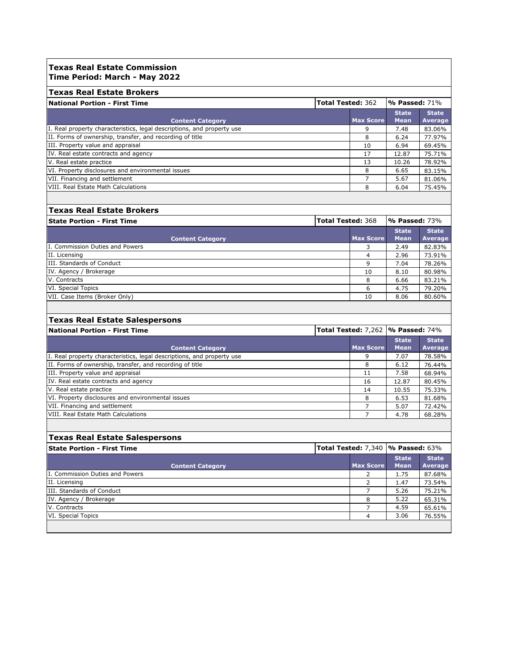### **Texas Real Estate Commission Time Period: March - May 2022**

| <b>Texas Real Estate Brokers</b>                                       |                          |                  |                     |              |
|------------------------------------------------------------------------|--------------------------|------------------|---------------------|--------------|
| <b>National Portion - First Time</b>                                   | <b>Total Tested: 362</b> |                  | $\%$ Passed: $71\%$ |              |
|                                                                        |                          |                  | <b>State</b>        | <b>State</b> |
| <b>Content Category</b>                                                |                          | <b>Max Score</b> | <b>Mean</b>         | Average      |
| I. Real property characteristics, legal descriptions, and property use |                          | 9                | 7.48                | 83.06%       |
| II. Forms of ownership, transfer, and recording of title               |                          | 8                | 6.24                | 77.97%       |
| III. Property value and appraisal                                      |                          | 10               | 6.94                | 69.45%       |
| IV. Real estate contracts and agency                                   |                          | 17               | 12.87               | 75.71%       |
| V. Real estate practice                                                |                          | 13               | 10.26               | 78.92%       |
| VI. Property disclosures and environmental issues                      |                          | 8                | 6.65                | 83.15%       |
| VII. Financing and settlement                                          |                          |                  | 5.67                | 81.06%       |
| VIII. Real Estate Math Calculations                                    |                          | 8                | 6.04                | 75.45%       |

## **Texas Real Estate Brokers**

| <b>Total Tested: 368</b><br><b>State Portion - First Time</b> |                  | $\sqrt{9}$ Passed: 73%      |                                |
|---------------------------------------------------------------|------------------|-----------------------------|--------------------------------|
| <b>Content Category</b>                                       | <b>Max Score</b> | <b>State</b><br><b>Mean</b> | <b>State</b><br><b>Average</b> |
| I. Commission Duties and Powers                               |                  | 2.49                        | 82.83%                         |
| II. Licensing                                                 | 4                | 2.96                        | 73.91%                         |
| III. Standards of Conduct                                     | 9                | 7.04                        | 78.26%                         |
| IV. Agency / Brokerage                                        | 10               | 8.10                        | 80.98%                         |
| V. Contracts                                                  | 8                | 6.66                        | 83.21%                         |
| VI. Special Topics                                            | 6                | 4.75                        | 79.20%                         |
| VII. Case Items (Broker Only)                                 | 10               | 8.06                        | 80.60%                         |

## **Texas Real Estate Salespersons**

| <b>Total Tested: 7,262  % Passed: 74%</b><br>National Portion - First Time |                  |                             |                         |  |
|----------------------------------------------------------------------------|------------------|-----------------------------|-------------------------|--|
| <b>Content Category</b>                                                    | <b>Max Score</b> | <b>State</b><br><b>Mean</b> | <b>State</b><br>Average |  |
| I. Real property characteristics, legal descriptions, and property use     | 9                | 7.07                        | 78.58%                  |  |
| II. Forms of ownership, transfer, and recording of title                   | 8                | 6.12                        | 76.44%                  |  |
| III. Property value and appraisal                                          | 11               | 7.58                        | 68.94%                  |  |
| IV. Real estate contracts and agency                                       | 16               | 12.87                       | 80.45%                  |  |
| V. Real estate practice                                                    | 14               | 10.55                       | 75.33%                  |  |
| VI. Property disclosures and environmental issues                          | 8                | 6.53                        | 81.68%                  |  |
| VII. Financing and settlement                                              |                  | 5.07                        | 72.42%                  |  |
| VIII. Real Estate Math Calculations                                        |                  | 4.78                        | 68.28%                  |  |

# **Texas Real Estate Salespersons**

| <b>State Portion - First Time</b> | Total Tested: 7,340  % Passed: 63% |                  |                             |                         |  |
|-----------------------------------|------------------------------------|------------------|-----------------------------|-------------------------|--|
| <b>Content Category</b>           |                                    | <b>Max Score</b> | <b>State</b><br><b>Mean</b> | <b>State</b><br>Average |  |
| I. Commission Duties and Powers   |                                    |                  | 1.75                        | 87.68%                  |  |
| II. Licensing                     |                                    |                  | 1.47                        | 73.54%                  |  |
| III. Standards of Conduct         |                                    |                  | 5.26                        | 75.21%                  |  |
| IV. Agency / Brokerage            |                                    | 8                | 5.22                        | 65.31%                  |  |
| V. Contracts                      |                                    |                  | 4.59                        | 65.61%                  |  |
| VI. Special Topics                |                                    | 4                | 3.06                        | 76.55%                  |  |
|                                   |                                    |                  |                             |                         |  |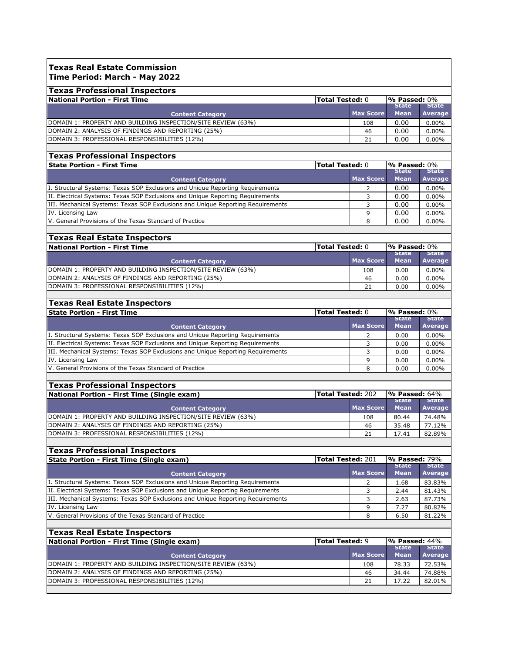#### **Texas Real Estate Commission Time Period: March - May 2022**

| <b>Texas Professional Inspectors</b>                          |  |                  |                         |              |
|---------------------------------------------------------------|--|------------------|-------------------------|--------------|
| National Portion - First Time<br><b>Total Tested: 0</b>       |  |                  | $\mathsf{P}$ Passed: 0% |              |
|                                                               |  |                  | <b>State</b>            | <b>State</b> |
| <b>Content Category</b>                                       |  | <b>Max Score</b> | <b>Mean</b>             | Average      |
| (DOMAIN 1: PROPERTY AND BUILDING INSPECTION/SITE REVIEW (63%) |  | 108              | 0.00                    | $0.00\%$     |
| DOMAIN 2: ANALYSIS OF FINDINGS AND REPORTING (25%)            |  | 46               | 0.00                    | $0.00\%$     |
| DOMAIN 3: PROFESSIONAL RESPONSIBILITIES (12%)                 |  | 21               | 0.00                    | $0.00\%$     |

**Average**  $0.00\%$  $0.00\%$  $0.00\%$ 

# **Texas Professional Inspectors**

| <b>State Portion - First Time</b>                                               | l <b>Total Tested:</b> 0 |                  | $\%$ Passed: $0\%$ |              |
|---------------------------------------------------------------------------------|--------------------------|------------------|--------------------|--------------|
|                                                                                 |                          |                  | <b>State</b>       | <b>State</b> |
| <b>Content Category</b>                                                         |                          | <b>Max Score</b> | <b>Mean</b>        | Average      |
| I. Structural Systems: Texas SOP Exclusions and Unique Reporting Requirements   |                          |                  | 0.00               | $0.00\%$     |
| II. Electrical Systems: Texas SOP Exclusions and Unique Reporting Requirements  |                          |                  | 0.00               | $0.00\%$     |
| III. Mechanical Systems: Texas SOP Exclusions and Unique Reporting Requirements |                          |                  | 0.00               | $0.00\%$     |
| IV. Licensing Law                                                               |                          |                  | 0.00               | $0.00\%$     |
| V. General Provisions of the Texas Standard of Practice                         |                          |                  | 0.00               | $0.00\%$     |
|                                                                                 |                          |                  |                    |              |

# **Texas Real Estate Inspectors**

| <b>National Portion - First Time</b>                          | <b>Total Tested: 0</b> |           | $\mathsf{P}$ Passed: $0\%$ |              |
|---------------------------------------------------------------|------------------------|-----------|----------------------------|--------------|
|                                                               |                        |           | <b>State</b>               | <b>State</b> |
| Content Category                                              |                        | Max Score | <b>Mean</b>                | Average      |
| (DOMAIN 1: PROPERTY AND BUILDING INSPECTION/SITE REVIEW (63%) |                        | 108       | 0.00                       | $0.00\%$     |
| DOMAIN 2: ANALYSIS OF FINDINGS AND REPORTING (25%)            |                        | 46        | 0.00                       | $0.00\%$     |
| DOMAIN 3: PROFESSIONAL RESPONSIBILITIES (12%)                 |                        | 21        | 0.00                       | $0.00\%$     |
|                                                               |                        |           |                            |              |

# **Texas Real Estate Inspectors**

| <b>State Portion - First Time</b>                                               | <b>Total Tested: 0</b> |                  | $\%$ Passed: $0\%$          |                         |
|---------------------------------------------------------------------------------|------------------------|------------------|-----------------------------|-------------------------|
| <b>Content Category</b>                                                         |                        | <b>Max Score</b> | <b>State</b><br><b>Mean</b> | <b>State</b><br>Average |
| II. Structural Systems: Texas SOP Exclusions and Unique Reporting Requirements  |                        |                  | 0.00                        | $0.00\%$                |
| II. Electrical Systems: Texas SOP Exclusions and Unique Reporting Requirements  |                        |                  | 0.00                        | $0.00\%$                |
| III. Mechanical Systems: Texas SOP Exclusions and Unique Reporting Requirements |                        |                  | 0.00                        | $0.00\%$                |
| IV. Licensing Law                                                               |                        |                  | 0.00                        | $0.00\%$                |
| V. General Provisions of the Texas Standard of Practice                         |                        | 8                | 0.00                        | $0.00\%$                |

# **Texas Professional Inspectors**

| National Portion - First Time (Single exam)                  | Total Tested: 202 |                  | $\%$ Passed: 64%            |                         |
|--------------------------------------------------------------|-------------------|------------------|-----------------------------|-------------------------|
| <b>Content Category</b>                                      |                   | <b>Max Score</b> | <b>State</b><br><b>Mean</b> | <b>State</b><br>Average |
| DOMAIN 1: PROPERTY AND BUILDING INSPECTION/SITE REVIEW (63%) |                   | 108              | 80.44                       | 74.48%                  |
| DOMAIN 2: ANALYSIS OF FINDINGS AND REPORTING (25%)           |                   | 46               | 35.48                       | 77.12%                  |
| DOMAIN 3: PROFESSIONAL RESPONSIBILITIES (12%)                |                   | 21               | 17.41                       | 82.89%                  |

# **Texas Professional Inspectors**

| State Portion - First Time (Single exam)                                        | <b>Total Tested: 201</b> |                  | $\log$ Passed: 79%          |                         |
|---------------------------------------------------------------------------------|--------------------------|------------------|-----------------------------|-------------------------|
| <b>Content Category</b>                                                         |                          | <b>Max Score</b> | <b>State</b><br><b>Mean</b> | <b>State</b><br>Average |
| I. Structural Systems: Texas SOP Exclusions and Unique Reporting Requirements   |                          |                  | 1.68                        | 83.83%                  |
| III. Electrical Systems: Texas SOP Exclusions and Unique Reporting Requirements |                          |                  | 2.44                        | 81.43%                  |
| III. Mechanical Systems: Texas SOP Exclusions and Unique Reporting Requirements |                          |                  | 2.63                        | 87.73%                  |
| IV. Licensing Law                                                               |                          | q                | 7.27                        | 80.82%                  |
| V. General Provisions of the Texas Standard of Practice                         |                          |                  | 6.50                        | 81.22%                  |

### **Texas Real Estate Inspectors**

| National Portion - First Time (Single exam)                   | <b>Total Tested: 9</b> |                  | $\mathbf{P}$ Passed: $44\%$ |                |
|---------------------------------------------------------------|------------------------|------------------|-----------------------------|----------------|
|                                                               |                        |                  | <b>State</b>                | <b>State</b>   |
| <b>Content Category</b>                                       |                        | <b>Max Score</b> | <b>Mean</b>                 | <b>Average</b> |
| (DOMAIN 1: PROPERTY AND BUILDING INSPECTION/SITE REVIEW (63%) |                        | 108              | 78.33                       | 72.53%         |
| DOMAIN 2: ANALYSIS OF FINDINGS AND REPORTING (25%)            |                        | 46               | 34.44                       | 74.88%         |
| DOMAIN 3: PROFESSIONAL RESPONSIBILITIES (12%)                 |                        | 21               | 17.22                       | 82.01%         |
|                                                               |                        |                  |                             |                |